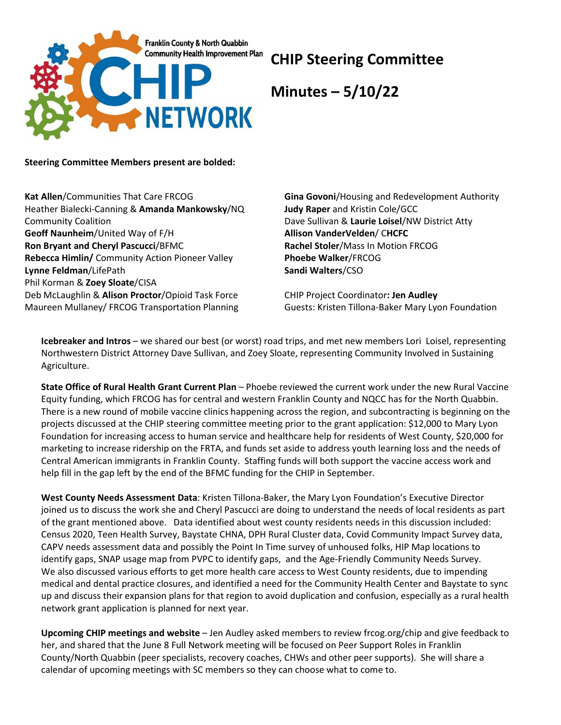

## **CHIP Steering Committee**

**Minutes – 5/10/22**

**Steering Committee Members present are bolded:** 

**Kat Allen**/Communities That Care FRCOG Heather Bialecki-Canning & **Amanda Mankowsky**/NQ Community Coalition **Geoff Naunheim**/United Way of F/H **Ron Bryant and Cheryl Pascucci**/BFMC **Rebecca Himlin/** Community Action Pioneer Valley **Lynne Feldman**/LifePath Phil Korman & **Zoey Sloate**/CISA Deb McLaughlin & **Alison Proctor**/Opioid Task Force Maureen Mullaney/ FRCOG Transportation Planning

**Gina Govoni**/Housing and Redevelopment Authority **Judy Raper** and Kristin Cole/GCC Dave Sullivan & **Laurie Loisel**/NW District Atty **Allison VanderVelden**/ C**HCFC Rachel Stoler**/Mass In Motion FRCOG **Phoebe Walker**/FRCOG **Sandi Walters**/CSO

CHIP Project Coordinator**: Jen Audley** Guests: Kristen Tillona-Baker Mary Lyon Foundation

**Icebreaker and Intros** – we shared our best (or worst) road trips, and met new members Lori Loisel, representing Northwestern District Attorney Dave Sullivan, and Zoey Sloate, representing Community Involved in Sustaining Agriculture.

**State Office of Rural Health Grant Current Plan** – Phoebe reviewed the current work under the new Rural Vaccine Equity funding, which FRCOG has for central and western Franklin County and NQCC has for the North Quabbin. There is a new round of mobile vaccine clinics happening across the region, and subcontracting is beginning on the projects discussed at the CHIP steering committee meeting prior to the grant application: \$12,000 to Mary Lyon Foundation for increasing access to human service and healthcare help for residents of West County, \$20,000 for marketing to increase ridership on the FRTA, and funds set aside to address youth learning loss and the needs of Central American immigrants in Franklin County. Staffing funds will both support the vaccine access work and help fill in the gap left by the end of the BFMC funding for the CHIP in September.

**West County Needs Assessment Data**: Kristen Tillona-Baker, the Mary Lyon Foundation's Executive Director joined us to discuss the work she and Cheryl Pascucci are doing to understand the needs of local residents as part of the grant mentioned above. Data identified about west county residents needs in this discussion included: Census 2020, Teen Health Survey, Baystate CHNA, DPH Rural Cluster data, Covid Community Impact Survey data, CAPV needs assessment data and possibly the Point In Time survey of unhoused folks, HIP Map locations to identify gaps, SNAP usage map from PVPC to identify gaps, and the Age-Friendly Community Needs Survey. We also discussed various efforts to get more health care access to West County residents, due to impending medical and dental practice closures, and identified a need for the Community Health Center and Baystate to sync up and discuss their expansion plans for that region to avoid duplication and confusion, especially as a rural health network grant application is planned for next year.

**Upcoming CHIP meetings and website** – Jen Audley asked members to review frcog.org/chip and give feedback to her, and shared that the June 8 Full Network meeting will be focused on Peer Support Roles in Franklin County/North Quabbin (peer specialists, recovery coaches, CHWs and other peer supports). She will share a calendar of upcoming meetings with SC members so they can choose what to come to.